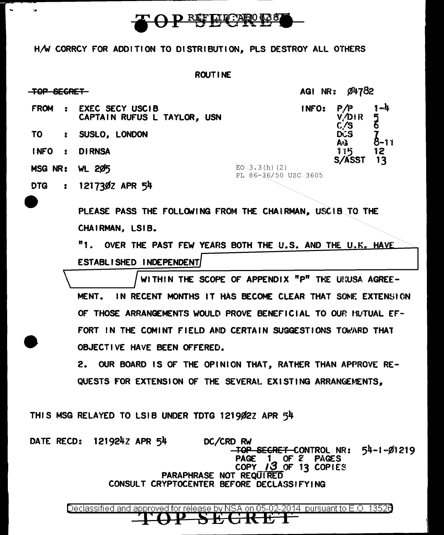

H/W CORRCY FOR ADDITION TO DISTRIBUTION, PLS DESTROY ALL OTHERS

 $\sim$ 

 $\ddot{\phantom{a}}$ 

|                                                           | <b>ROUTINE</b>                                                                     |       |                       |                          |  |
|-----------------------------------------------------------|------------------------------------------------------------------------------------|-------|-----------------------|--------------------------|--|
| TOP SEGRET                                                |                                                                                    |       | Ø4782<br>AGI NR:      |                          |  |
| <b>FROM</b><br>2                                          | <b>EXEC SECY USCIB</b><br>CAPTAIN RUFUS L TAYLOR, USN                              | INFO: | P/P<br>V./DIR<br>C./S | $1 - 4$<br>$\frac{5}{6}$ |  |
| TO.<br>$\ddot{\bullet}$                                   | SUSLO, LONDON                                                                      |       | <b>DCS</b><br>ErA     | 8-1 เ                    |  |
| <b>INFO</b><br>$\bullet$                                  | <b>DIRNSA</b>                                                                      |       | 115                   | 12                       |  |
| <b>MSG NR: WL 205</b>                                     | $EO$ 3.3(h)(2)<br>PL 86-36/50 USC 3605                                             |       | S/ASST                | 13                       |  |
| DTG<br>$\bullet$                                          | 1217302 APR 54                                                                     |       |                       |                          |  |
| PLEASE PASS THE FOLLOWING FROM THE CHAIRMAN, USCIB TO THE |                                                                                    |       |                       |                          |  |
|                                                           | CHAIRMAN, LSIB.<br>"1"                                                             |       |                       |                          |  |
|                                                           | OVER THE PAST FEW YEARS BOTH THE U.S. AND THE U.K. HAVE<br>ESTABLISHED INDEPENDENT |       |                       |                          |  |
|                                                           | WITHIN THE SCOPE OF APPENDIX "P" THE URUSA AGREE-                                  |       |                       |                          |  |
|                                                           | IN RECENT MONTHS IT HAS BECOME CLEAR THAT SOME EXTENSION<br>MENT.                  |       |                       |                          |  |
|                                                           | OF THOSE ARRANGEMENTS WOULD PROVE BENEFICIAL TO OUR NUTUAL EF-                     |       |                       |                          |  |
|                                                           | THE COMINT FIELD AND CERTAIN SUGGESTIONS TOWARD THAT<br>FORT IN                    |       |                       |                          |  |

2. OUR BOARD IS OF THE OPINION THAT, RATHER THAN APPROVE RE-QUESTS FOR EXTENSION OF THE SEVERAL EXISTING ARRANGEMENTS,

THIS MSG RELAYED TO LSIB UNDER TDTG 121902Z APR 54

OBJECTIVE HAVE BEEN OFFERED.

DATE RECD: 121924Z APR 54 DC/CRD RW TOP SECRET CONTROL NR:  $54-1-01219$ PAGE 1 OF 2 PAGES<br>COPY 13 OF 13 COPIES PARAPHRASE NOT REQUIRED CONSULT CRYPTOCENTER BEFORE DECLASSIFYING

Declassified and approved for release by NSA on 05-02-2014 pursuant to E.O. 13520 <del>-STI/CTKJ</del>I